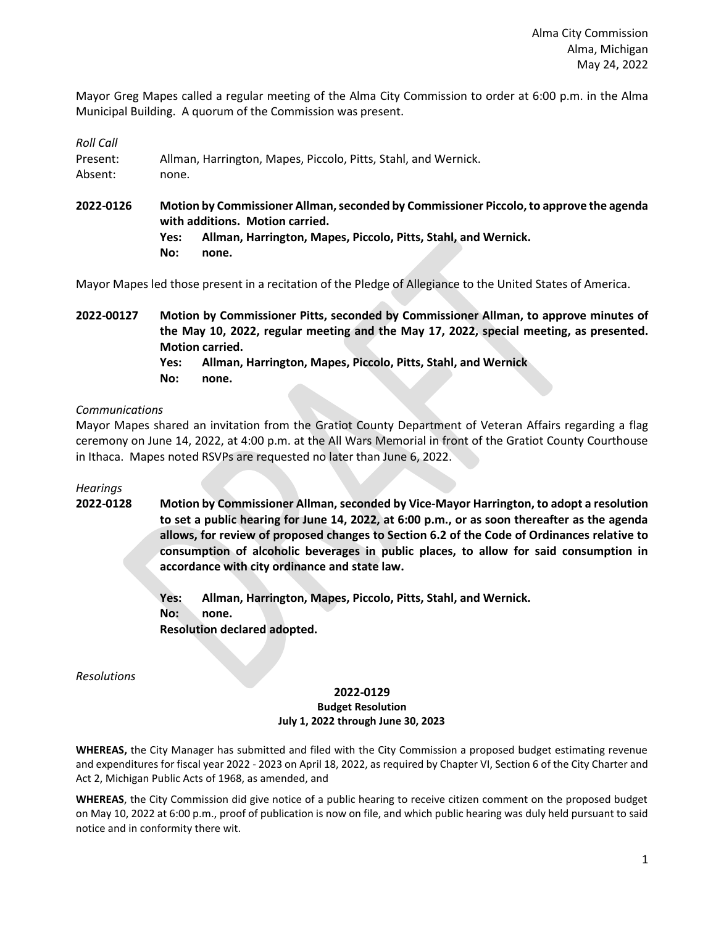Mayor Greg Mapes called a regular meeting of the Alma City Commission to order at 6:00 p.m. in the Alma Municipal Building. A quorum of the Commission was present.

*Roll Call*

| Present: | Allman, Harrington, Mapes, Piccolo, Pitts, Stahl, and Wernick. |  |  |
|----------|----------------------------------------------------------------|--|--|
| Absent:  | none.                                                          |  |  |

**2022-0126 Motion by Commissioner Allman, seconded by Commissioner Piccolo, to approve the agenda with additions. Motion carried.**

**Yes: Allman, Harrington, Mapes, Piccolo, Pitts, Stahl, and Wernick. No: none.**

Mayor Mapes led those present in a recitation of the Pledge of Allegiance to the United States of America.

**2022-00127 Motion by Commissioner Pitts, seconded by Commissioner Allman, to approve minutes of the May 10, 2022, regular meeting and the May 17, 2022, special meeting, as presented. Motion carried.**

**Yes: Allman, Harrington, Mapes, Piccolo, Pitts, Stahl, and Wernick**

**No: none.**

## *Communications*

Mayor Mapes shared an invitation from the Gratiot County Department of Veteran Affairs regarding a flag ceremony on June 14, 2022, at 4:00 p.m. at the All Wars Memorial in front of the Gratiot County Courthouse in Ithaca. Mapes noted RSVPs are requested no later than June 6, 2022.

*Hearings*

**2022-0128 Motion by Commissioner Allman, seconded by Vice-Mayor Harrington, to adopt a resolution to set a public hearing for June 14, 2022, at 6:00 p.m., or as soon thereafter as the agenda allows, for review of proposed changes to Section 6.2 of the Code of Ordinances relative to consumption of alcoholic beverages in public places, to allow for said consumption in accordance with city ordinance and state law.**

> **Yes: Allman, Harrington, Mapes, Piccolo, Pitts, Stahl, and Wernick. No: none. Resolution declared adopted.**

*Resolutions*

## **2022-0129 Budget Resolution July 1, 2022 through June 30, 2023**

**WHEREAS,** the City Manager has submitted and filed with the City Commission a proposed budget estimating revenue and expenditures for fiscal year 2022 - 2023 on April 18, 2022, as required by Chapter VI, Section 6 of the City Charter and Act 2, Michigan Public Acts of 1968, as amended, and

**WHEREAS**, the City Commission did give notice of a public hearing to receive citizen comment on the proposed budget on May 10, 2022 at 6:00 p.m., proof of publication is now on file, and which public hearing was duly held pursuant to said notice and in conformity there wit.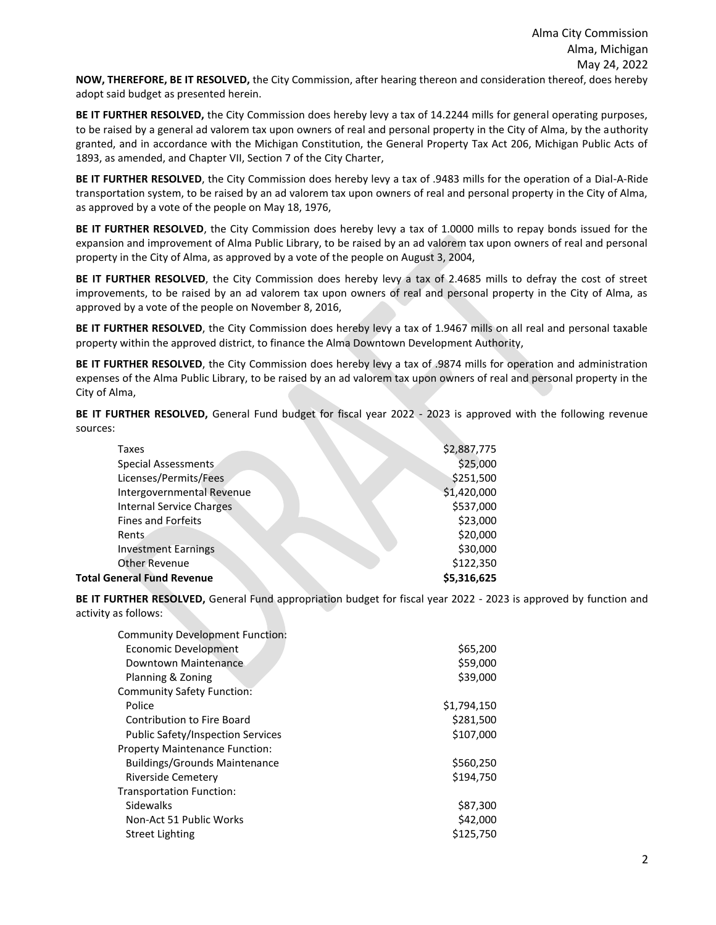**BE IT FURTHER RESOLVED,** the City Commission does hereby levy a tax of 14.2244 mills for general operating purposes, to be raised by a general ad valorem tax upon owners of real and personal property in the City of Alma, by the authority granted, and in accordance with the Michigan Constitution, the General Property Tax Act 206, Michigan Public Acts of 1893, as amended, and Chapter VII, Section 7 of the City Charter,

**BE IT FURTHER RESOLVED**, the City Commission does hereby levy a tax of .9483 mills for the operation of a Dial-A-Ride transportation system, to be raised by an ad valorem tax upon owners of real and personal property in the City of Alma, as approved by a vote of the people on May 18, 1976,

**BE IT FURTHER RESOLVED**, the City Commission does hereby levy a tax of 1.0000 mills to repay bonds issued for the expansion and improvement of Alma Public Library, to be raised by an ad valorem tax upon owners of real and personal property in the City of Alma, as approved by a vote of the people on August 3, 2004,

**BE IT FURTHER RESOLVED**, the City Commission does hereby levy a tax of 2.4685 mills to defray the cost of street improvements, to be raised by an ad valorem tax upon owners of real and personal property in the City of Alma, as approved by a vote of the people on November 8, 2016,

**BE IT FURTHER RESOLVED**, the City Commission does hereby levy a tax of 1.9467 mills on all real and personal taxable property within the approved district, to finance the Alma Downtown Development Authority,

**BE IT FURTHER RESOLVED**, the City Commission does hereby levy a tax of .9874 mills for operation and administration expenses of the Alma Public Library, to be raised by an ad valorem tax upon owners of real and personal property in the City of Alma,

**BE IT FURTHER RESOLVED,** General Fund budget for fiscal year 2022 - 2023 is approved with the following revenue sources:

| Taxes                             | \$2,887,775 |
|-----------------------------------|-------------|
| Special Assessments               | \$25,000    |
| Licenses/Permits/Fees             | \$251,500   |
| Intergovernmental Revenue         | \$1,420,000 |
| <b>Internal Service Charges</b>   | \$537,000   |
| <b>Fines and Forfeits</b>         | \$23,000    |
| <b>Rents</b>                      | \$20,000    |
| <b>Investment Earnings</b>        | \$30,000    |
| Other Revenue                     | \$122,350   |
| <b>Total General Fund Revenue</b> | \$5,316,625 |
|                                   |             |

**BE IT FURTHER RESOLVED,** General Fund appropriation budget for fiscal year 2022 - 2023 is approved by function and activity as follows:

| <b>Community Development Function:</b>   |             |
|------------------------------------------|-------------|
| <b>Economic Development</b>              | \$65,200    |
| Downtown Maintenance                     | \$59,000    |
| Planning & Zoning                        | \$39,000    |
| Community Safety Function:               |             |
| Police                                   | \$1,794,150 |
| <b>Contribution to Fire Board</b>        | \$281,500   |
| <b>Public Safety/Inspection Services</b> | \$107,000   |
| <b>Property Maintenance Function:</b>    |             |
| <b>Buildings/Grounds Maintenance</b>     | \$560,250   |
| Riverside Cemetery                       | \$194,750   |
| <b>Transportation Function:</b>          |             |
| Sidewalks                                | \$87,300    |
| Non-Act 51 Public Works                  | \$42,000    |
| <b>Street Lighting</b>                   | \$125.750   |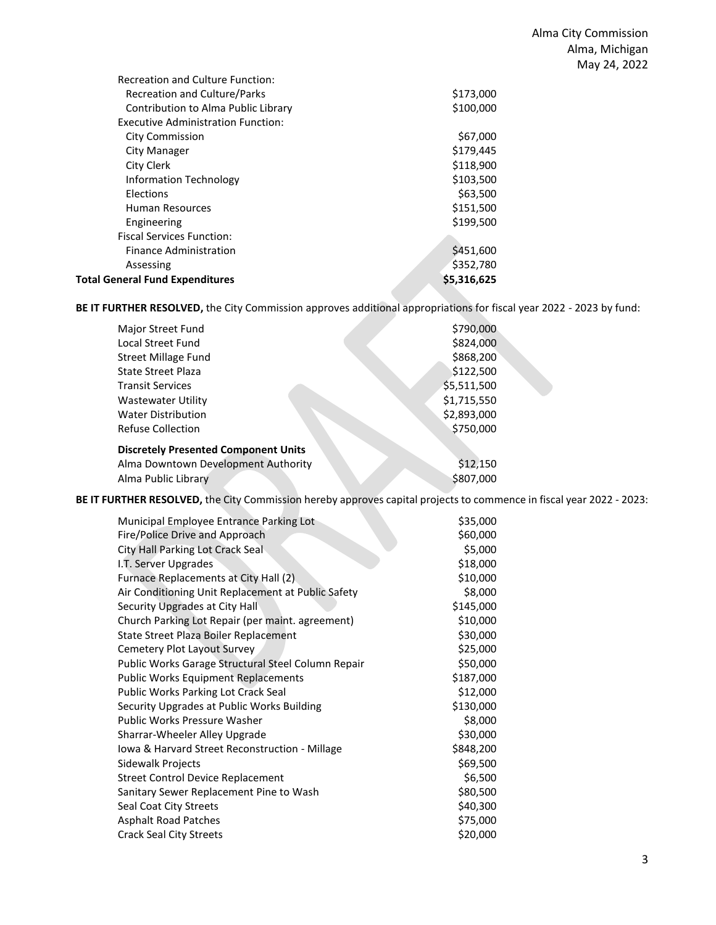| Assessing<br><b>Total General Fund Expenditures</b> | \$352,780<br>\$5,316,625 |
|-----------------------------------------------------|--------------------------|
| <b>Finance Administration</b>                       | \$451,600                |
| <b>Fiscal Services Function:</b>                    |                          |
| Engineering                                         | \$199,500                |
| Human Resources                                     | \$151,500                |
| Elections                                           | \$63,500                 |
| <b>Information Technology</b>                       | \$103,500                |
| City Clerk                                          | \$118,900                |
| City Manager                                        | \$179,445                |
| <b>City Commission</b>                              | \$67,000                 |
| <b>Executive Administration Function:</b>           |                          |
| Contribution to Alma Public Library                 | \$100,000                |
| Recreation and Culture/Parks                        | \$173,000                |
| <b>Recreation and Culture Function:</b>             |                          |

**BE IT FURTHER RESOLVED,** the City Commission approves additional appropriations for fiscal year 2022 - 2023 by fund:

| Major Street Fund                           | \$790,000   |
|---------------------------------------------|-------------|
| <b>Local Street Fund</b>                    | \$824,000   |
| <b>Street Millage Fund</b>                  | \$868,200   |
| State Street Plaza                          | \$122,500   |
| <b>Transit Services</b>                     | \$5,511,500 |
| <b>Wastewater Utility</b>                   | \$1,715,550 |
| <b>Water Distribution</b>                   | \$2,893,000 |
| <b>Refuse Collection</b>                    | \$750,000   |
| <b>Discretely Presented Component Units</b> |             |
| Alma Downtown Development Authority         | \$12,150    |
| Alma Public Library                         | \$807,000   |

**BE IT FURTHER RESOLVED,** the City Commission hereby approves capital projects to commence in fiscal year 2022 - 2023:

| Municipal Employee Entrance Parking Lot            | \$35,000  |
|----------------------------------------------------|-----------|
| Fire/Police Drive and Approach                     | \$60,000  |
| City Hall Parking Lot Crack Seal                   | \$5,000   |
| I.T. Server Upgrades                               | \$18,000  |
| Furnace Replacements at City Hall (2)              | \$10,000  |
| Air Conditioning Unit Replacement at Public Safety | \$8,000   |
| Security Upgrades at City Hall                     | \$145,000 |
| Church Parking Lot Repair (per maint. agreement)   | \$10,000  |
| State Street Plaza Boiler Replacement              | \$30,000  |
| Cemetery Plot Layout Survey                        | \$25,000  |
| Public Works Garage Structural Steel Column Repair | \$50,000  |
| <b>Public Works Equipment Replacements</b>         | \$187,000 |
| Public Works Parking Lot Crack Seal                | \$12,000  |
| Security Upgrades at Public Works Building         | \$130,000 |
| <b>Public Works Pressure Washer</b>                | \$8,000   |
| Sharrar-Wheeler Alley Upgrade                      | \$30,000  |
| Iowa & Harvard Street Reconstruction - Millage     | \$848,200 |
| Sidewalk Projects                                  | \$69,500  |
| <b>Street Control Device Replacement</b>           | \$6,500   |
| Sanitary Sewer Replacement Pine to Wash            | \$80,500  |
| Seal Coat City Streets                             | \$40,300  |
| <b>Asphalt Road Patches</b>                        | \$75,000  |
| <b>Crack Seal City Streets</b>                     | \$20,000  |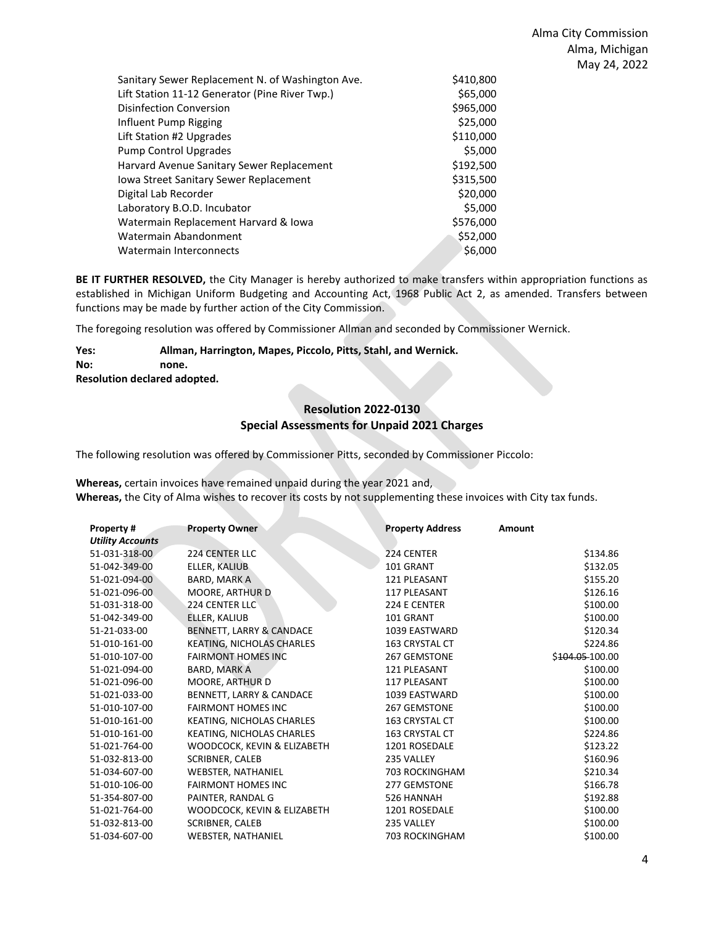| Sanitary Sewer Replacement N. of Washington Ave. | \$410,800 |
|--------------------------------------------------|-----------|
| Lift Station 11-12 Generator (Pine River Twp.)   | \$65,000  |
| <b>Disinfection Conversion</b>                   | \$965,000 |
| Influent Pump Rigging                            | \$25,000  |
| Lift Station #2 Upgrades                         | \$110,000 |
| <b>Pump Control Upgrades</b>                     | \$5,000   |
| Harvard Avenue Sanitary Sewer Replacement        | \$192.500 |
| Iowa Street Sanitary Sewer Replacement           | \$315.500 |
| Digital Lab Recorder                             | \$20,000  |
| Laboratory B.O.D. Incubator                      | \$5.000   |
| Watermain Replacement Harvard & Iowa             | \$576,000 |
| Watermain Abandonment                            | \$52,000  |
| Watermain Interconnects                          | \$6,000   |
|                                                  |           |

**BE IT FURTHER RESOLVED,** the City Manager is hereby authorized to make transfers within appropriation functions as established in Michigan Uniform Budgeting and Accounting Act, 1968 Public Act 2, as amended. Transfers between functions may be made by further action of the City Commission.

The foregoing resolution was offered by Commissioner Allman and seconded by Commissioner Wernick.

#### **Yes: Allman, Harrington, Mapes, Piccolo, Pitts, Stahl, and Wernick. No: none. Resolution declared adopted.**

## **Resolution 2022-0130 Special Assessments for Unpaid 2021 Charges**

The following resolution was offered by Commissioner Pitts, seconded by Commissioner Piccolo:

**Whereas,** certain invoices have remained unpaid during the year 2021 and, **Whereas,** the City of Alma wishes to recover its costs by not supplementing these invoices with City tax funds.

| <b>Property#</b>        | <b>Property Owner</b>       | <b>Property Address</b> | Amount          |
|-------------------------|-----------------------------|-------------------------|-----------------|
| <b>Utility Accounts</b> |                             |                         |                 |
| 51-031-318-00           | 224 CENTER LLC              | 224 CENTER              | \$134.86        |
| 51-042-349-00           | ELLER, KALIUB               | 101 GRANT               | \$132.05        |
| 51-021-094-00           | BARD, MARK A                | <b>121 PLEASANT</b>     | \$155.20        |
| 51-021-096-00           | MOORE, ARTHUR D             | 117 PLEASANT            | \$126.16        |
| 51-031-318-00           | <b>224 CENTER LLC</b>       | 224 E CENTER            | \$100.00        |
| 51-042-349-00           | ELLER, KALIUB               | 101 GRANT               | \$100.00        |
| 51-21-033-00            | BENNETT, LARRY & CANDACE    | 1039 EASTWARD           | \$120.34        |
| 51-010-161-00           | KEATING, NICHOLAS CHARLES   | 163 CRYSTAL CT          | \$224.86        |
| 51-010-107-00           | <b>FAIRMONT HOMES INC</b>   | <b>267 GEMSTONE</b>     | \$104.05 100.00 |
| 51-021-094-00           | BARD, MARK A                | 121 PLEASANT            | \$100.00        |
| 51-021-096-00           | MOORE, ARTHUR D             | 117 PLEASANT            | \$100.00        |
| 51-021-033-00           | BENNETT, LARRY & CANDACE    | 1039 EASTWARD           | \$100.00        |
| 51-010-107-00           | <b>FAIRMONT HOMES INC</b>   | <b>267 GEMSTONE</b>     | \$100.00        |
| 51-010-161-00           | KEATING, NICHOLAS CHARLES   | <b>163 CRYSTAL CT</b>   | \$100.00        |
| 51-010-161-00           | KEATING, NICHOLAS CHARLES   | <b>163 CRYSTAL CT</b>   | \$224.86        |
| 51-021-764-00           | WOODCOCK, KEVIN & ELIZABETH | 1201 ROSEDALE           | \$123.22        |
| 51-032-813-00           | SCRIBNER, CALEB             | 235 VALLEY              | \$160.96        |
| 51-034-607-00           | <b>WEBSTER, NATHANIEL</b>   | <b>703 ROCKINGHAM</b>   | \$210.34        |
| 51-010-106-00           | <b>FAIRMONT HOMES INC</b>   | 277 GEMSTONE            | \$166.78        |
| 51-354-807-00           | PAINTER, RANDAL G           | 526 HANNAH              | \$192.88        |
| 51-021-764-00           | WOODCOCK, KEVIN & ELIZABETH | 1201 ROSEDALE           | \$100.00        |
| 51-032-813-00           | SCRIBNER, CALEB             | 235 VALLEY              | \$100.00        |
| 51-034-607-00           | <b>WEBSTER, NATHANIEL</b>   | 703 ROCKINGHAM          | \$100.00        |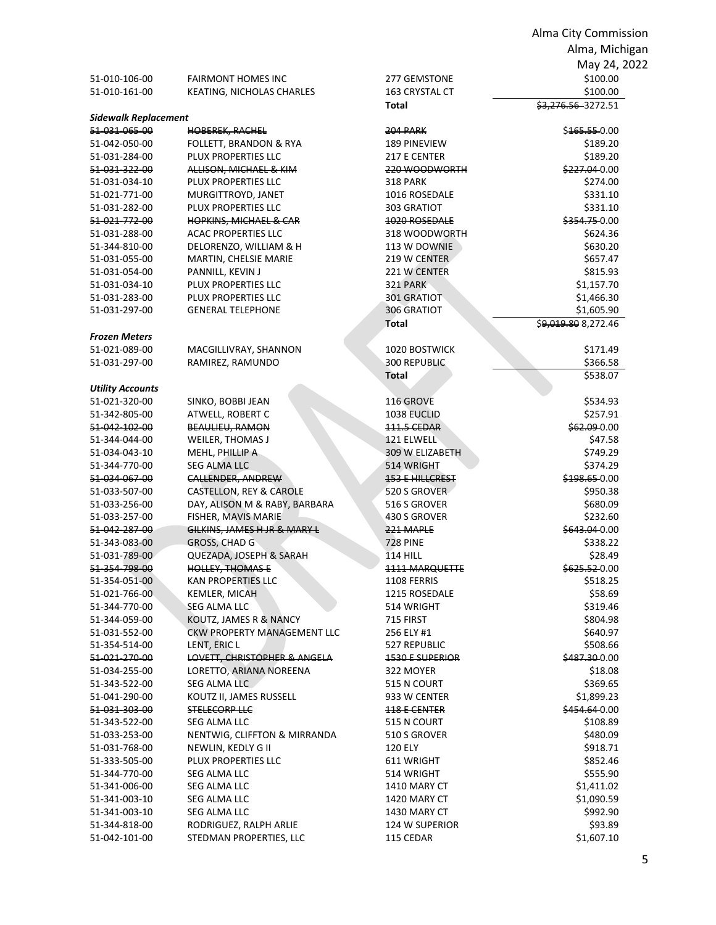|                                |                                                      |                                | Alma City Commission      |
|--------------------------------|------------------------------------------------------|--------------------------------|---------------------------|
|                                |                                                      |                                | Alma, Michigan            |
|                                |                                                      |                                | May 24, 2022              |
| 51-010-106-00                  | <b>FAIRMONT HOMES INC</b>                            |                                |                           |
| 51-010-161-00                  | KEATING, NICHOLAS CHARLES                            | 277 GEMSTONE<br>163 CRYSTAL CT | \$100.00<br>\$100.00      |
|                                |                                                      | Total                          | \$3,276.56-3272.51        |
| <b>Sidewalk Replacement</b>    |                                                      |                                |                           |
| 51 031 065 00                  | <b>HOBEREK, RACHEL</b>                               | <b>204 PARK</b>                | \$165.55-0.00             |
| 51-042-050-00                  | <b>FOLLETT, BRANDON &amp; RYA</b>                    | 189 PINEVIEW                   | \$189.20                  |
| 51-031-284-00                  | PLUX PROPERTIES LLC                                  | 217 E CENTER                   | \$189.20                  |
| 51-031-322-00                  | ALLISON, MICHAEL & KIM                               | 220 WOODWORTH                  | \$227.04-0.00             |
| 51-031-034-10                  | PLUX PROPERTIES LLC                                  | <b>318 PARK</b>                | \$274.00                  |
| 51-021-771-00                  | MURGITTROYD, JANET                                   | 1016 ROSEDALE                  | \$331.10                  |
| 51-031-282-00                  | PLUX PROPERTIES LLC                                  | 303 GRATIOT                    | \$331.10                  |
| 51-021-772-00                  | <b>HOPKINS, MICHAEL &amp; CAR</b>                    | 1020 ROSEDALE                  | \$354.75 0.00             |
| 51-031-288-00                  | <b>ACAC PROPERTIES LLC</b>                           | 318 WOODWORTH                  | \$624.36                  |
| 51-344-810-00                  | DELORENZO, WILLIAM & H                               | 113 W DOWNIE                   | \$630.20                  |
| 51-031-055-00                  | MARTIN, CHELSIE MARIE                                | 219 W CENTER                   | \$657.47                  |
| 51-031-054-00                  | PANNILL, KEVIN J                                     | 221 W CENTER                   | \$815.93                  |
| 51-031-034-10                  | PLUX PROPERTIES LLC                                  | 321 PARK                       | \$1,157.70                |
| 51-031-283-00                  | PLUX PROPERTIES LLC                                  | 301 GRATIOT                    | \$1,466.30                |
| 51-031-297-00                  | <b>GENERAL TELEPHONE</b>                             | 306 GRATIOT                    | \$1,605.90                |
|                                |                                                      | Total                          | \$9,019.80 8,272.46       |
| <b>Frozen Meters</b>           |                                                      |                                |                           |
| 51-021-089-00                  | MACGILLIVRAY, SHANNON                                | 1020 BOSTWICK                  | \$171.49                  |
| 51-031-297-00                  | RAMIREZ, RAMUNDO                                     | 300 REPUBLIC                   | \$366.58                  |
|                                |                                                      | Total                          | \$538.07                  |
| <b>Utility Accounts</b>        |                                                      |                                |                           |
| 51-021-320-00                  | SINKO, BOBBI JEAN                                    | 116 GROVE                      | \$534.93                  |
| 51-342-805-00                  | ATWELL, ROBERT C                                     | 1038 EUCLID                    | \$257.91                  |
| 51-042-102-00                  | <b>BEAULIEU, RAMON</b>                               | <b>111.5 CEDAR</b>             | \$62.09 0.00              |
| 51-344-044-00                  | WEILER, THOMAS J                                     | 121 ELWELL                     | \$47.58                   |
| 51-034-043-10                  | MEHL, PHILLIP A                                      | 309 W ELIZABETH                | \$749.29                  |
| 51-344-770-00                  | SEG ALMA LLC                                         | 514 WRIGHT                     | \$374.29                  |
| 51-034-067-00                  | <b>CALLENDER, ANDREW</b>                             | <b>153 E HILLCREST</b>         | \$198.65-0.00             |
| 51-033-507-00                  | CASTELLON, REY & CAROLE                              | 520 S GROVER                   | \$950.38                  |
| 51-033-256-00                  | DAY, ALISON M & RABY, BARBARA<br>FISHER, MAVIS MARIE | 516 S GROVER                   | \$680.09                  |
| 51-033-257-00<br>51-042-287-00 | GILKINS, JAMES H JR & MARY L                         | 430 S GROVER<br>221 MAPLE      | \$232.60<br>\$643.04-0.00 |
| 51-343-083-00                  | <b>GROSS, CHAD G</b>                                 | <b>728 PINE</b>                | \$338.22                  |
| 51-031-789-00                  | QUEZADA, JOSEPH & SARAH                              | $114$ HILL                     | \$28.49                   |
| 51-354-798-00                  | HOLLEY, THOMAS E                                     | 1111 MARQUETTE                 | \$625.520.00              |
| 51-354-051-00                  | <b>KAN PROPERTIES LLC</b>                            | 1108 FERRIS                    | \$518.25                  |
| 51-021-766-00                  | <b>KEMLER, MICAH</b>                                 | 1215 ROSEDALE                  | \$58.69                   |
| 51-344-770-00                  | SEG ALMA LLC                                         | 514 WRIGHT                     | \$319.46                  |
| 51-344-059-00                  | KOUTZ, JAMES R & NANCY                               | 715 FIRST                      | \$804.98                  |
| 51-031-552-00                  | <b>CKW PROPERTY MANAGEMENT LLC</b>                   | 256 ELY #1                     | \$640.97                  |
| 51-354-514-00                  | LENT, ERIC L                                         | 527 REPUBLIC                   | \$508.66                  |
| 51 021 270 00                  | LOVETT, CHRISTOPHER & ANGELA                         | <b>1530 E SUPERIOR</b>         | \$487.300.00              |
| 51-034-255-00                  | LORETTO, ARIANA NOREENA                              | 322 MOYER                      | \$18.08                   |
| 51-343-522-00                  | SEG ALMA LLC                                         | 515 N COURT                    | \$369.65                  |
| 51-041-290-00                  | KOUTZ II, JAMES RUSSELL                              | 933 W CENTER                   | \$1,899.23                |
| 51-031-303-00                  | <b>STELECORP LLC</b>                                 | <b>118 E CENTER</b>            | \$454.64-0.00             |
| 51-343-522-00                  | <b>SEG ALMA LLC</b>                                  | 515 N COURT                    | \$108.89                  |
| 51-033-253-00                  | NENTWIG, CLIFFTON & MIRRANDA                         | 510 S GROVER                   | \$480.09                  |
| 51-031-768-00                  | NEWLIN, KEDLY G II                                   | 120 ELY                        | \$918.71                  |
| 51-333-505-00                  | PLUX PROPERTIES LLC                                  | 611 WRIGHT                     | \$852.46                  |
| 51-344-770-00                  | SEG ALMA LLC                                         | 514 WRIGHT                     | \$555.90                  |
| 51-341-006-00                  | SEG ALMA LLC                                         | 1410 MARY CT                   | \$1,411.02                |
| 51-341-003-10                  | SEG ALMA LLC                                         | 1420 MARY CT                   | \$1,090.59                |
| 51-341-003-10                  | SEG ALMA LLC                                         | 1430 MARY CT                   | \$992.90                  |
| 51-344-818-00                  | RODRIGUEZ, RALPH ARLIE                               | 124 W SUPERIOR                 | \$93.89                   |
| 51-042-101-00                  | STEDMAN PROPERTIES, LLC                              | 115 CEDAR                      | \$1,607.10                |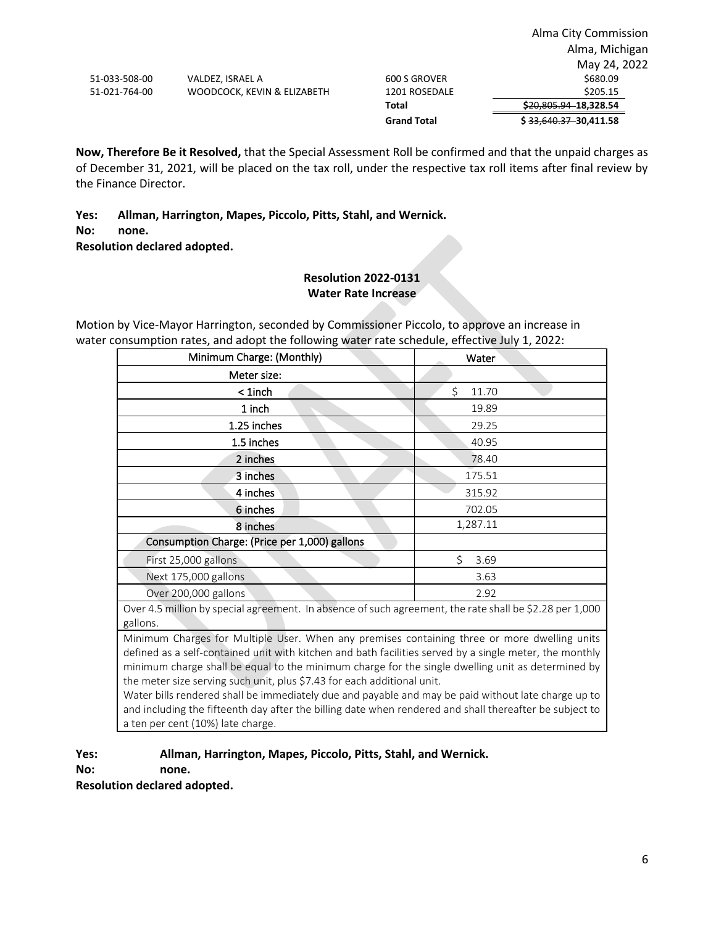**Now, Therefore Be it Resolved,** that the Special Assessment Roll be confirmed and that the unpaid charges as of December 31, 2021, will be placed on the tax roll, under the respective tax roll items after final review by the Finance Director.

## **Yes: Allman, Harrington, Mapes, Piccolo, Pitts, Stahl, and Wernick.**

**No: none.**

**Resolution declared adopted.**

## **Resolution 2022-0131 Water Rate Increase**

Motion by Vice-Mayor Harrington, seconded by Commissioner Piccolo, to approve an increase in water consumption rates, and adopt the following water rate schedule, effective July 1, 2022:

| Minimum Charge: (Monthly)                     | Water      |
|-----------------------------------------------|------------|
| Meter size:                                   |            |
| $1$ inch                                      | Ś<br>11.70 |
| 1 inch                                        | 19.89      |
| 1.25 inches                                   | 29.25      |
| 1.5 inches                                    | 40.95      |
| 2 inches                                      | 78.40      |
| 3 inches                                      | 175.51     |
| 4 inches                                      | 315.92     |
| 6 inches                                      | 702.05     |
| 8 inches                                      | 1,287.11   |
| Consumption Charge: (Price per 1,000) gallons |            |
| First 25,000 gallons                          | \$<br>3.69 |
| Next 175,000 gallons                          | 3.63       |
| Over 200,000 gallons                          | 2.92       |

Over 4.5 million by special agreement. In absence of such agreement, the rate shall be \$2.28 per 1,000 gallons.

Minimum Charges for Multiple User. When any premises containing three or more dwelling units defined as a self-contained unit with kitchen and bath facilities served by a single meter, the monthly minimum charge shall be equal to the minimum charge for the single dwelling unit as determined by the meter size serving such unit, plus \$7.43 for each additional unit.

Water bills rendered shall be immediately due and payable and may be paid without late charge up to and including the fifteenth day after the billing date when rendered and shall thereafter be subject to a ten per cent (10%) late charge.

# **Yes: Allman, Harrington, Mapes, Piccolo, Pitts, Stahl, and Wernick.**

**No: none.**

**Resolution declared adopted.**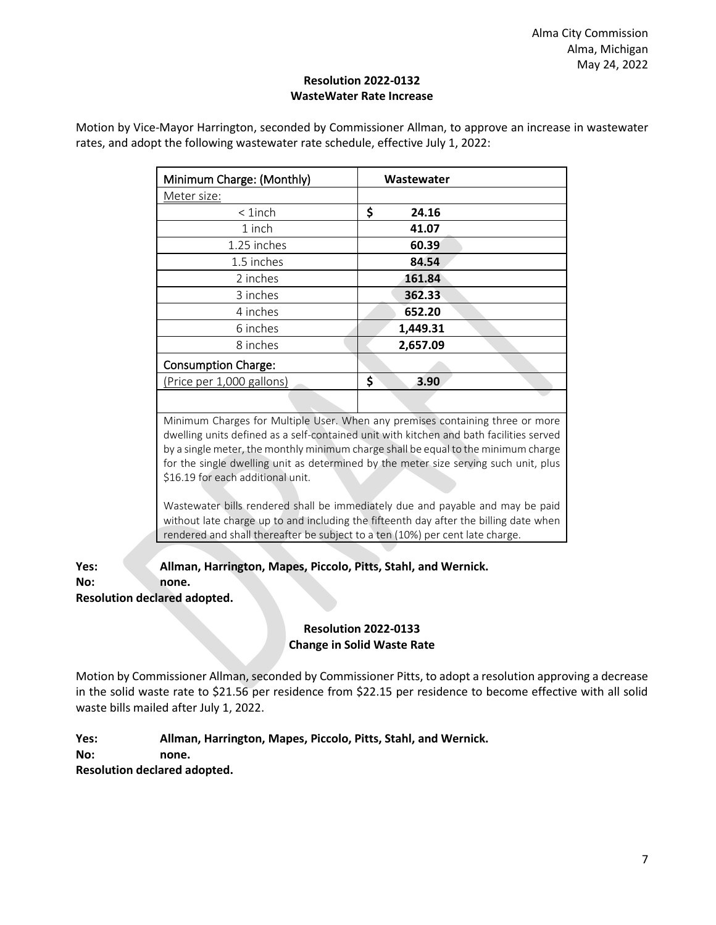## **Resolution 2022-0132 WasteWater Rate Increase**

| Wastewater  |
|-------------|
|             |
| \$<br>24.16 |
| 41.07       |
| 60.39       |
| 84.54       |
| 161.84      |
| 362.33      |
| 652.20      |
| 1,449.31    |
| 2,657.09    |
|             |
| \$<br>3.90  |
|             |

Motion by Vice-Mayor Harrington, seconded by Commissioner Allman, to approve an increase in wastewater rates, and adopt the following wastewater rate schedule, effective July 1, 2022:

> Minimum Charges for Multiple User. When any premises containing three or more dwelling units defined as a self-contained unit with kitchen and bath facilities served by a single meter, the monthly minimum charge shall be equal to the minimum charge for the single dwelling unit as determined by the meter size serving such unit, plus \$16.19 for each additional unit.

> Wastewater bills rendered shall be immediately due and payable and may be paid without late charge up to and including the fifteenth day after the billing date when rendered and shall thereafter be subject to a ten (10%) per cent late charge.

**Yes: Allman, Harrington, Mapes, Piccolo, Pitts, Stahl, and Wernick. No: none. Resolution declared adopted.**

# **Resolution 2022-0133 Change in Solid Waste Rate**

Motion by Commissioner Allman, seconded by Commissioner Pitts, to adopt a resolution approving a decrease in the solid waste rate to \$21.56 per residence from \$22.15 per residence to become effective with all solid waste bills mailed after July 1, 2022.

**Yes: Allman, Harrington, Mapes, Piccolo, Pitts, Stahl, and Wernick.**

**No: none.**

**Resolution declared adopted.**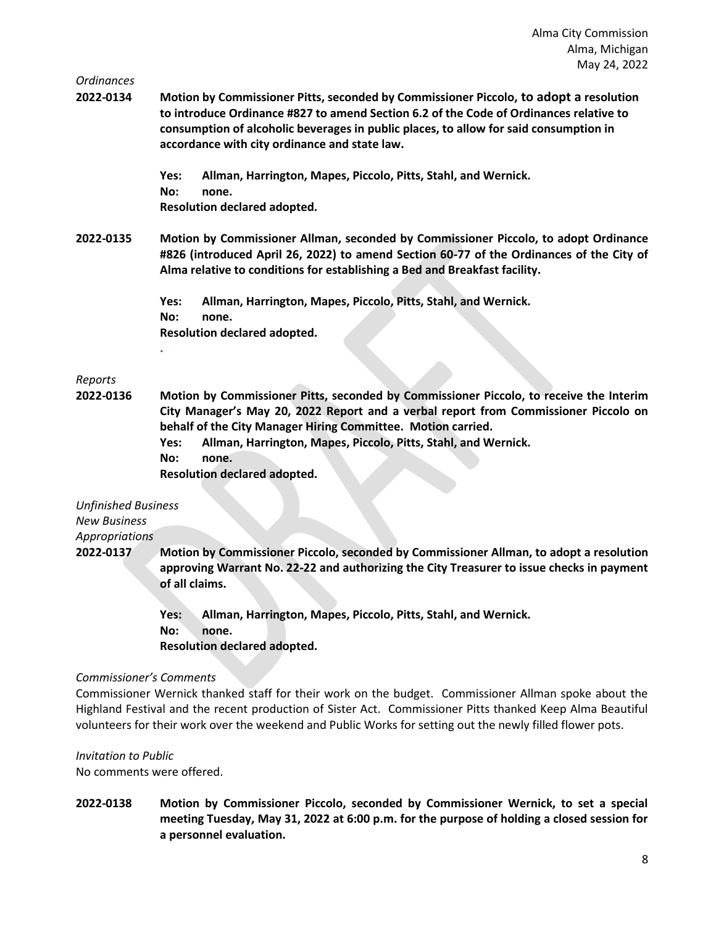#### *Ordinances*

**2022-0134 Motion by Commissioner Pitts, seconded by Commissioner Piccolo, to adopt a resolution to introduce Ordinance #827 to amend Section 6.2 of the Code of Ordinances relative to consumption of alcoholic beverages in public places, to allow for said consumption in accordance with city ordinance and state law.**

> **Yes: Allman, Harrington, Mapes, Piccolo, Pitts, Stahl, and Wernick. No: none. Resolution declared adopted.**

**2022-0135 Motion by Commissioner Allman, seconded by Commissioner Piccolo, to adopt Ordinance #826 (introduced April 26, 2022) to amend Section 60-77 of the Ordinances of the City of Alma relative to conditions for establishing a Bed and Breakfast facility.**

> **Yes: Allman, Harrington, Mapes, Piccolo, Pitts, Stahl, and Wernick. No: none. Resolution declared adopted. .**

#### *Reports*

- **2022-0136 Motion by Commissioner Pitts, seconded by Commissioner Piccolo, to receive the Interim City Manager's May 20, 2022 Report and a verbal report from Commissioner Piccolo on behalf of the City Manager Hiring Committee. Motion carried.**
	- **Yes: Allman, Harrington, Mapes, Piccolo, Pitts, Stahl, and Wernick.**
	- **No: none.**

**Resolution declared adopted.**

| <b>Unfinished Business</b> |                                                                                                                                                                                                       |
|----------------------------|-------------------------------------------------------------------------------------------------------------------------------------------------------------------------------------------------------|
| <b>New Business</b>        |                                                                                                                                                                                                       |
| <b>Appropriations</b>      |                                                                                                                                                                                                       |
| 2022-0137                  | Motion by Commissioner Piccolo, seconded by Commissioner Allman, to adopt a resolution<br>approving Warrant No. 22-22 and authorizing the City Treasurer to issue checks in payment<br>of all claims. |
|                            | Allman, Harrington, Mapes, Piccolo, Pitts, Stahl, and Wernick.<br>Yes:                                                                                                                                |

**No: none.**

**Resolution declared adopted.**

#### *Commissioner's Comments*

Commissioner Wernick thanked staff for their work on the budget. Commissioner Allman spoke about the Highland Festival and the recent production of Sister Act. Commissioner Pitts thanked Keep Alma Beautiful volunteers for their work over the weekend and Public Works for setting out the newly filled flower pots.

*Invitation to Public* No comments were offered.

**2022-0138 Motion by Commissioner Piccolo, seconded by Commissioner Wernick, to set a special meeting Tuesday, May 31, 2022 at 6:00 p.m. for the purpose of holding a closed session for a personnel evaluation.**